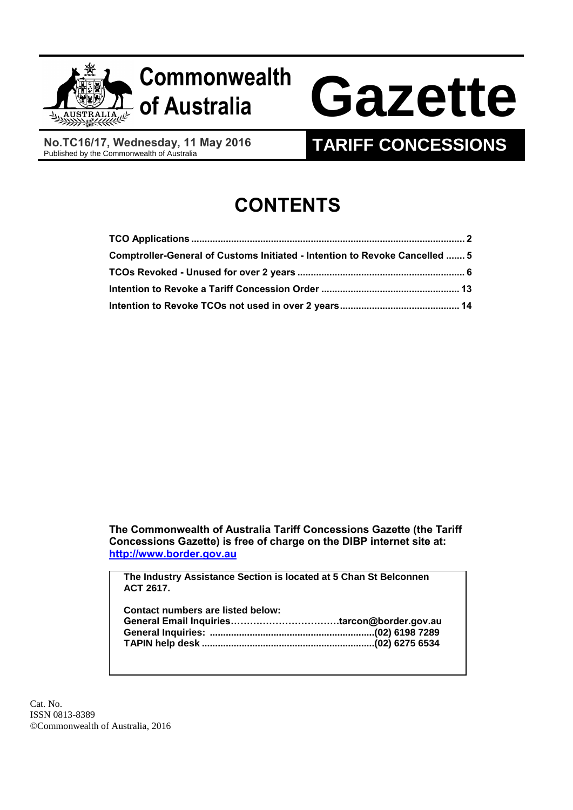

# **of Australia Gazette**

**No.TC16/17, Wednesday, 11 May 2016**<br>Published by the Commonwealth of Australia

## **TARIFF CONCESSIONS**

# **CONTENTS**

| Comptroller-General of Customs Initiated - Intention to Revoke Cancelled  5 |  |
|-----------------------------------------------------------------------------|--|
|                                                                             |  |
|                                                                             |  |
|                                                                             |  |

**The Commonwealth of Australia Tariff Concessions Gazette (the Tariff Concessions Gazette) is free of charge on the DIBP internet site at: [http://www.border.gov.au](http://www.border.gov.au/)**

**The Industry Assistance Section is located at 5 Chan St Belconnen ACT 2617.**

| <b>Contact numbers are listed below:</b> |  |
|------------------------------------------|--|
|                                          |  |
|                                          |  |
|                                          |  |
|                                          |  |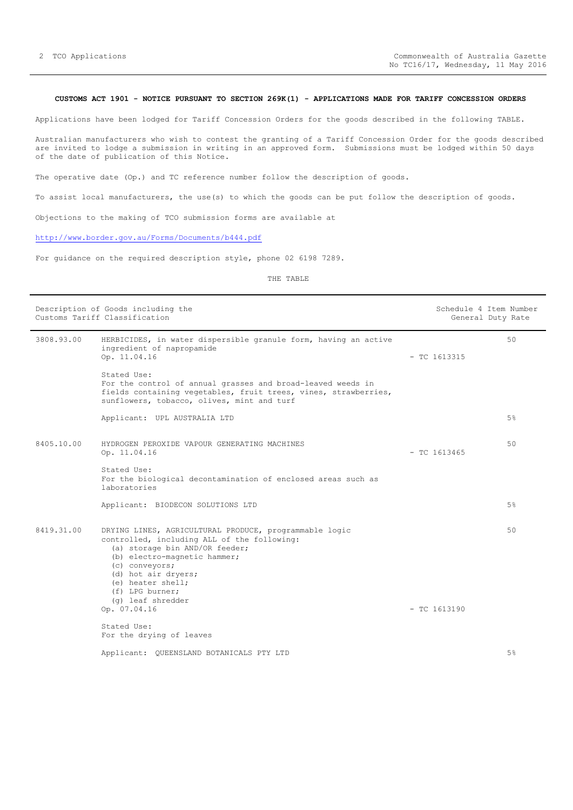#### <span id="page-1-0"></span>**CUSTOMS ACT 1901 - NOTICE PURSUANT TO SECTION 269K(1) - APPLICATIONS MADE FOR TARIFF CONCESSION ORDERS**

Applications have been lodged for Tariff Concession Orders for the goods described in the following TABLE.

Australian manufacturers who wish to contest the granting of a Tariff Concession Order for the goods described are invited to lodge a submission in writing in an approved form. Submissions must be lodged within 50 days of the date of publication of this Notice.

The operative date (Op.) and TC reference number follow the description of goods.

To assist local manufacturers, the use(s) to which the goods can be put follow the description of goods.

Objections to the making of TCO submission forms are available at

### <http://www.border.gov.au/Forms/Documents/b444.pdf>

For guidance on the required description style, phone 02 6198 7289.

THE TABLE

| Description of Goods including the<br>Customs Tariff Classification |                                                                                                                                                                                                                                                                                               | Schedule 4 Item Number<br>General Duty Rate |                |
|---------------------------------------------------------------------|-----------------------------------------------------------------------------------------------------------------------------------------------------------------------------------------------------------------------------------------------------------------------------------------------|---------------------------------------------|----------------|
| 3808.93.00                                                          | HERBICIDES, in water dispersible granule form, having an active<br>ingredient of napropamide<br>Op. 11.04.16                                                                                                                                                                                  | $-$ TC 1613315                              | 50             |
|                                                                     | Stated Use:<br>For the control of annual grasses and broad-leaved weeds in<br>fields containing vegetables, fruit trees, vines, strawberries,<br>sunflowers, tobacco, olives, mint and turf                                                                                                   |                                             |                |
|                                                                     | Applicant: UPL AUSTRALIA LTD                                                                                                                                                                                                                                                                  |                                             | 5 <sup>8</sup> |
| 8405.10.00                                                          | HYDROGEN PEROXIDE VAPOUR GENERATING MACHINES<br>Op. 11.04.16                                                                                                                                                                                                                                  | $-$ TC 1613465                              | 50             |
|                                                                     | Stated Use:<br>For the biological decontamination of enclosed areas such as<br>laboratories                                                                                                                                                                                                   |                                             |                |
|                                                                     | Applicant: BIODECON SOLUTIONS LTD                                                                                                                                                                                                                                                             |                                             | 5%             |
| 8419.31.00                                                          | DRYING LINES, AGRICULTURAL PRODUCE, programmable logic<br>controlled, including ALL of the following:<br>(a) storage bin AND/OR feeder;<br>(b) electro-magnetic hammer;<br>(c) conveyors;<br>(d) hot air dryers;<br>(e) heater shell;<br>(f) LPG burner;<br>(g) leaf shredder<br>Op. 07.04.16 | $-$ TC 1613190                              | 50             |
|                                                                     | Stated Use:<br>For the drying of leaves                                                                                                                                                                                                                                                       |                                             |                |
|                                                                     | Applicant: QUEENSLAND BOTANICALS PTY LTD                                                                                                                                                                                                                                                      |                                             | 5 <sup>8</sup> |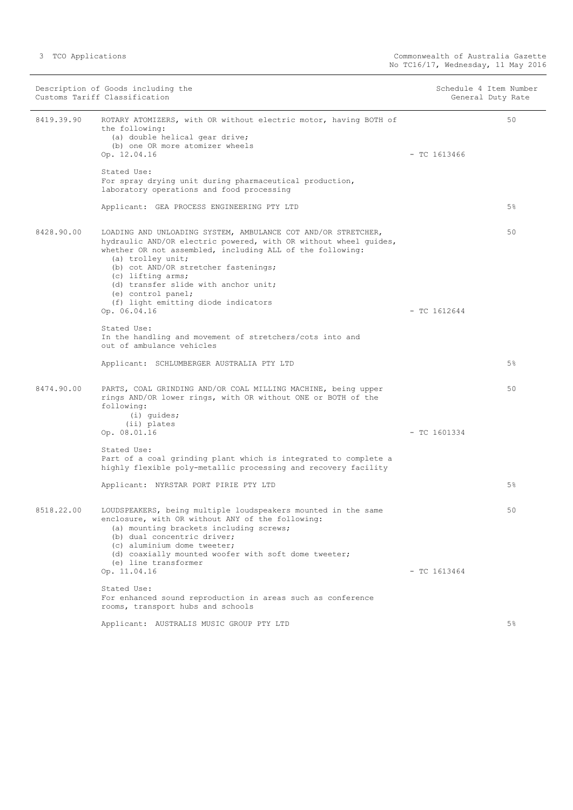| Description of Goods including the<br>Customs Tariff Classification |                                                                                                                                                                                                                                                                                                                                                                                                       | Schedule 4 Item Number<br>General Duty Rate |                |
|---------------------------------------------------------------------|-------------------------------------------------------------------------------------------------------------------------------------------------------------------------------------------------------------------------------------------------------------------------------------------------------------------------------------------------------------------------------------------------------|---------------------------------------------|----------------|
| 8419.39.90                                                          | ROTARY ATOMIZERS, with OR without electric motor, having BOTH of<br>the following:<br>(a) double helical gear drive;<br>(b) one OR more atomizer wheels<br>Op. 12.04.16                                                                                                                                                                                                                               | $-$ TC 1613466                              | 50             |
|                                                                     | Stated Use:<br>For spray drying unit during pharmaceutical production,<br>laboratory operations and food processing                                                                                                                                                                                                                                                                                   |                                             |                |
|                                                                     | Applicant: GEA PROCESS ENGINEERING PTY LTD                                                                                                                                                                                                                                                                                                                                                            |                                             | $5\%$          |
| 8428.90.00                                                          | LOADING AND UNLOADING SYSTEM, AMBULANCE COT AND/OR STRETCHER,<br>hydraulic AND/OR electric powered, with OR without wheel quides,<br>whether OR not assembled, including ALL of the following:<br>(a) trolley unit;<br>(b) cot AND/OR stretcher fastenings;<br>(c) lifting arms;<br>(d) transfer slide with anchor unit;<br>(e) control panel;<br>(f) light emitting diode indicators<br>Op. 06.04.16 | $-$ TC 1612644                              | 50             |
|                                                                     | Stated Use:<br>In the handling and movement of stretchers/cots into and<br>out of ambulance vehicles                                                                                                                                                                                                                                                                                                  |                                             |                |
|                                                                     | Applicant: SCHLUMBERGER AUSTRALIA PTY LTD                                                                                                                                                                                                                                                                                                                                                             |                                             | $5\%$          |
| 8474.90.00                                                          | PARTS, COAL GRINDING AND/OR COAL MILLING MACHINE, being upper<br>rings AND/OR lower rings, with OR without ONE or BOTH of the<br>following:<br>$(i)$ quides;                                                                                                                                                                                                                                          |                                             | 50             |
|                                                                     | (ii) plates<br>Op. 08.01.16                                                                                                                                                                                                                                                                                                                                                                           | $-$ TC 1601334                              |                |
|                                                                     | Stated Use:<br>Part of a coal grinding plant which is integrated to complete a<br>highly flexible poly-metallic processing and recovery facility                                                                                                                                                                                                                                                      |                                             |                |
|                                                                     | Applicant: NYRSTAR PORT PIRIE PTY LTD                                                                                                                                                                                                                                                                                                                                                                 |                                             | 5 <sup>°</sup> |
| 8518.22.00                                                          | LOUDSPEAKERS, being multiple loudspeakers mounted in the same<br>enclosure, with OR without ANY of the following:<br>(a) mounting brackets including screws;<br>(b) dual concentric driver;<br>(c) aluminium dome tweeter;<br>(d) coaxially mounted woofer with soft dome tweeter;<br>(e) line transformer                                                                                            |                                             | 50             |
|                                                                     | Op. 11.04.16                                                                                                                                                                                                                                                                                                                                                                                          | $-$ TC 1613464                              |                |
|                                                                     | Stated Use:<br>For enhanced sound reproduction in areas such as conference<br>rooms, transport hubs and schools                                                                                                                                                                                                                                                                                       |                                             |                |
|                                                                     | Applicant: AUSTRALIS MUSIC GROUP PTY LTD                                                                                                                                                                                                                                                                                                                                                              |                                             | 5 <sup>°</sup> |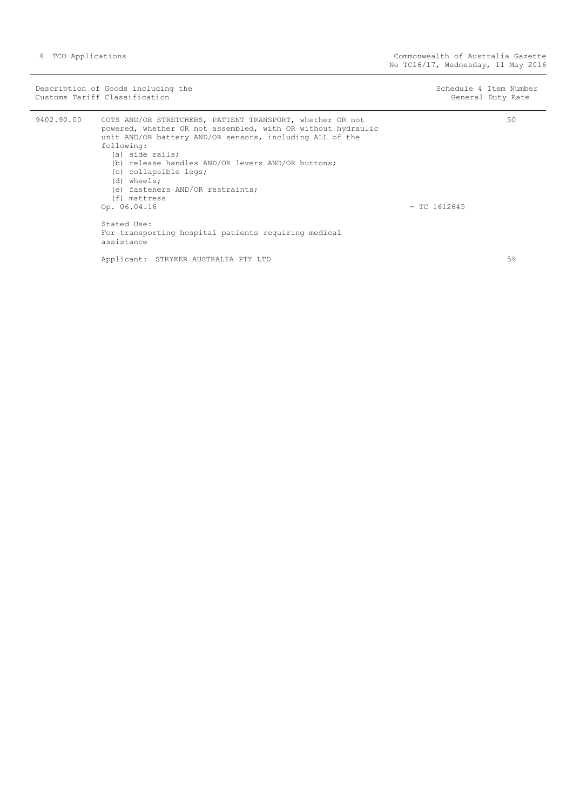|            | Description of Goods including the<br>Customs Tariff Classification                                                                                                                                                                                                                                                                                                                                                                                            | Schedule 4 Item Number<br>General Duty Rate |
|------------|----------------------------------------------------------------------------------------------------------------------------------------------------------------------------------------------------------------------------------------------------------------------------------------------------------------------------------------------------------------------------------------------------------------------------------------------------------------|---------------------------------------------|
| 9402.90.00 | COTS AND/OR STRETCHERS, PATIENT TRANSPORT, whether OR not<br>powered, whether OR not assembled, with OR without hydraulic<br>unit AND/OR battery AND/OR sensors, including ALL of the<br>following:<br>(a) side rails;<br>(b) release handles AND/OR levers AND/OR buttons:<br>(c) collapsible legs;<br>(d) wheels;<br>(e) fasteners AND/OR restraints;<br>(f) mattress<br>Op. 06.04.16<br>Stated Use:<br>For transporting hospital patients requiring medical | 50<br>$-$ TC 1612645                        |
|            | assistance<br>Applicant: STRYKER AUSTRALIA PTY LTD                                                                                                                                                                                                                                                                                                                                                                                                             | 5%                                          |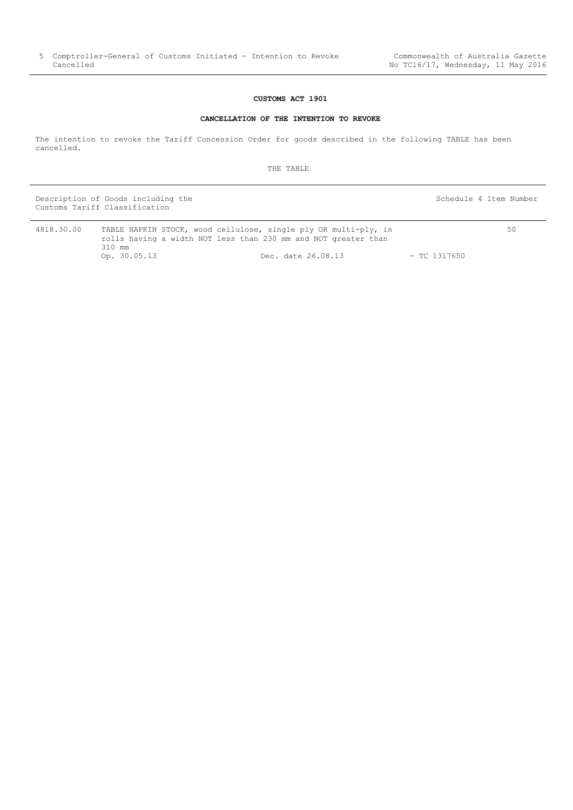## **CUSTOMS ACT 1901**

#### **CANCELLATION OF THE INTENTION TO REVOKE**

<span id="page-4-0"></span>The intention to revoke the Tariff Concession Order for goods described in the following TABLE has been cancelled.

THE TABLE

Description of Goods including the Schedule 4 Item Number (Schedule 4 Item Number Customs Tariff Classification

50

| 4818.30.00 |              | TABLE NAPKIN STOCK, wood cellulose, single ply OR multi-ply, in |              |
|------------|--------------|-----------------------------------------------------------------|--------------|
|            |              | rolls having a width NOT less than 230 mm and NOT greater than  |              |
|            | 310 mm       |                                                                 |              |
|            | Op. 30.05.13 | Dec. date 26.08.13                                              | - TC 1317650 |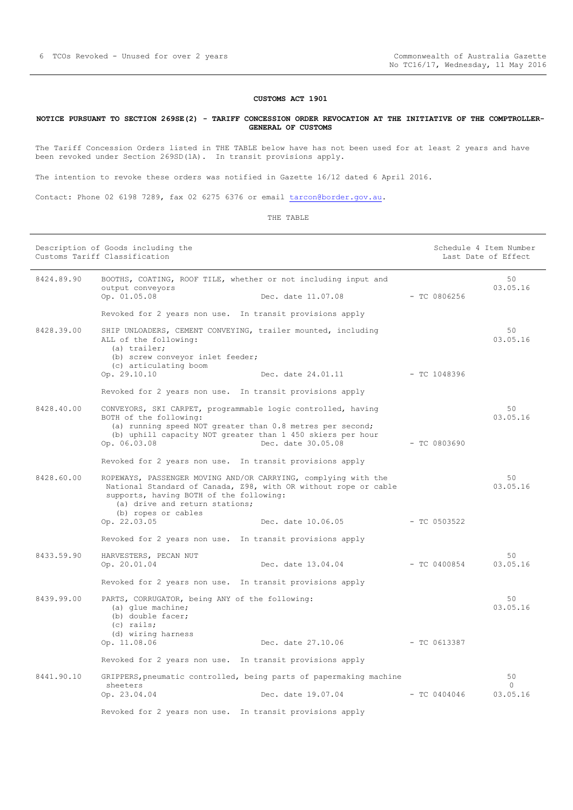#### **CUSTOMS ACT 1901**

#### <span id="page-5-0"></span>**NOTICE PURSUANT TO SECTION 269SE(2) - TARIFF CONCESSION ORDER REVOCATION AT THE INITIATIVE OF THE COMPTROLLER-GENERAL OF CUSTOMS**

The Tariff Concession Orders listed in THE TABLE below have has not been used for at least 2 years and have been revoked under Section 269SD(1A). In transit provisions apply.

The intention to revoke these orders was notified in Gazette 16/12 dated 6 April 2016.

Contact: Phone 02 6198 7289, fax 02 6275 6376 or email [tarcon@border.gov.au.](mailto:tarcon@border.gov.au)

THE TABLE

| Description of Goods including the<br>Customs Tariff Classification |                                                                                                                                                                                                                                       |                    |                | Schedule 4 Item Number<br>Last Date of Effect |
|---------------------------------------------------------------------|---------------------------------------------------------------------------------------------------------------------------------------------------------------------------------------------------------------------------------------|--------------------|----------------|-----------------------------------------------|
| 8424.89.90                                                          | BOOTHS, COATING, ROOF TILE, whether or not including input and<br>output conveyors<br>Op. 01.05.08                                                                                                                                    | Dec. date 11.07.08 | $-$ TC 0806256 | 50<br>03.05.16                                |
|                                                                     | Revoked for 2 years non use. In transit provisions apply                                                                                                                                                                              |                    |                |                                               |
| 8428.39.00                                                          | SHIP UNLOADERS, CEMENT CONVEYING, trailer mounted, including<br>ALL of the following:<br>(a) trailer;<br>(b) screw conveyor inlet feeder;                                                                                             |                    |                | 50<br>03.05.16                                |
|                                                                     | (c) articulating boom<br>Op. 29.10.10                                                                                                                                                                                                 | Dec. date 24.01.11 | - TC 1048396   |                                               |
|                                                                     | Revoked for 2 years non use. In transit provisions apply                                                                                                                                                                              |                    |                |                                               |
| 8428.40.00                                                          | CONVEYORS, SKI CARPET, programmable logic controlled, having<br>BOTH of the following:<br>(a) running speed NOT greater than 0.8 metres per second;<br>(b) uphill capacity NOT greater than 1 450 skiers per hour<br>Op. 06.03.08     | Dec. date 30.05.08 | $-$ TC 0803690 | 50<br>03.05.16                                |
|                                                                     | Revoked for 2 years non use. In transit provisions apply                                                                                                                                                                              |                    |                |                                               |
| 8428.60.00                                                          | ROPEWAYS, PASSENGER MOVING AND/OR CARRYING, complying with the<br>National Standard of Canada, 298, with OR without rope or cable<br>supports, having BOTH of the following:<br>(a) drive and return stations;<br>(b) ropes or cables |                    |                | 50<br>03.05.16                                |
|                                                                     | Op. 22.03.05                                                                                                                                                                                                                          | Dec. date 10.06.05 | $-$ TC 0503522 |                                               |
|                                                                     | Revoked for 2 years non use. In transit provisions apply                                                                                                                                                                              |                    |                |                                               |
| 8433.59.90                                                          | HARVESTERS, PECAN NUT<br>Op. 20.01.04                                                                                                                                                                                                 | Dec. date 13.04.04 | $-$ TC 0400854 | 50<br>03.05.16                                |
|                                                                     | Revoked for 2 years non use. In transit provisions apply                                                                                                                                                                              |                    |                |                                               |
| 8439.99.00                                                          | PARTS, CORRUGATOR, being ANY of the following:<br>(a) glue machine;<br>(b) double facer;<br>$(c)$ rails;                                                                                                                              |                    |                | 50<br>03.05.16                                |
|                                                                     | (d) wiring harness<br>Op. 11.08.06                                                                                                                                                                                                    | Dec. date 27.10.06 | $-$ TC 0613387 |                                               |
|                                                                     | Revoked for 2 years non use. In transit provisions apply                                                                                                                                                                              |                    |                |                                               |
| 8441.90.10                                                          | GRIPPERS, pneumatic controlled, being parts of papermaking machine                                                                                                                                                                    |                    |                | 50                                            |
|                                                                     | sheeters<br>Op. 23.04.04                                                                                                                                                                                                              | Dec. date 19.07.04 | $-$ TC 0404046 | $\Omega$<br>03.05.16                          |
|                                                                     | Revoked for 2 years non use. In transit provisions apply                                                                                                                                                                              |                    |                |                                               |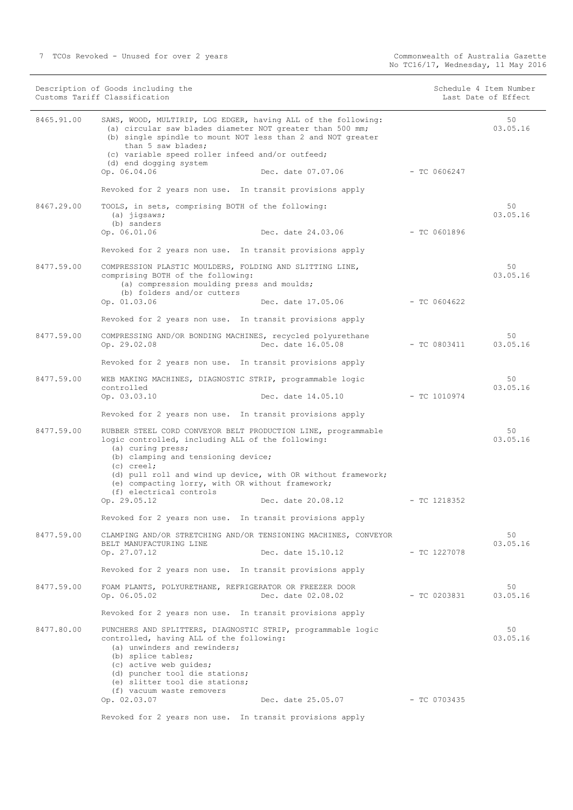50 03.05.16

7 TCOs Revoked - Unused for over 2 years Commonwealth of Australia Gazette

Customs Tariff Classification

|            | (b) single spindle to mount NOT less than 2 and NOT greater<br>than 5 saw blades;<br>(c) variable speed roller infeed and/or outfeed;<br>(d) end dogging system                                                                                                                                                                                                                      |                |                |
|------------|--------------------------------------------------------------------------------------------------------------------------------------------------------------------------------------------------------------------------------------------------------------------------------------------------------------------------------------------------------------------------------------|----------------|----------------|
|            | Op. 06.04.06<br>Dec. date 07.07.06                                                                                                                                                                                                                                                                                                                                                   | $-$ TC 0606247 |                |
|            | Revoked for 2 years non use. In transit provisions apply                                                                                                                                                                                                                                                                                                                             |                |                |
| 8467.29.00 | TOOLS, in sets, comprising BOTH of the following:<br>$(a)$ jigsaws;<br>(b) sanders<br>Op. 06.01.06<br>Dec. date 24.03.06                                                                                                                                                                                                                                                             | - TC 0601896   | 50<br>03.05.16 |
|            | Revoked for 2 years non use. In transit provisions apply                                                                                                                                                                                                                                                                                                                             |                |                |
| 8477.59.00 | COMPRESSION PLASTIC MOULDERS, FOLDING AND SLITTING LINE,<br>comprising BOTH of the following:<br>(a) compression moulding press and moulds;<br>(b) folders and/or cutters                                                                                                                                                                                                            |                | 50<br>03.05.16 |
|            | Op. 01.03.06<br>Dec. date 17.05.06                                                                                                                                                                                                                                                                                                                                                   | - TC 0604622   |                |
|            | Revoked for 2 years non use. In transit provisions apply                                                                                                                                                                                                                                                                                                                             |                |                |
| 8477.59.00 | COMPRESSING AND/OR BONDING MACHINES, recycled polyurethane<br>Op. 29.02.08<br>Dec. date 16.05.08                                                                                                                                                                                                                                                                                     | $-$ TC 0803411 | 50<br>03.05.16 |
|            | Revoked for 2 years non use. In transit provisions apply                                                                                                                                                                                                                                                                                                                             |                |                |
| 8477.59.00 | WEB MAKING MACHINES, DIAGNOSTIC STRIP, programmable logic<br>controlled<br>Op. 03.03.10<br>Dec. date 14.05.10                                                                                                                                                                                                                                                                        | $-$ TC 1010974 | 50<br>03.05.16 |
|            |                                                                                                                                                                                                                                                                                                                                                                                      |                |                |
|            | Revoked for 2 years non use. In transit provisions apply                                                                                                                                                                                                                                                                                                                             |                |                |
| 8477.59.00 | RUBBER STEEL CORD CONVEYOR BELT PRODUCTION LINE, programmable<br>logic controlled, including ALL of the following:<br>(a) curing press;<br>(b) clamping and tensioning device;<br>$(c) creel$ ;<br>(d) pull roll and wind up device, with OR without framework;<br>(e) compacting lorry, with OR without framework;<br>(f) electrical controls<br>Op. 29.05.12<br>Dec. date 20.08.12 | - TC 1218352   | 50<br>03.05.16 |
|            | Revoked for 2 years non use. In transit provisions apply                                                                                                                                                                                                                                                                                                                             |                |                |
| 8477.59.00 | CLAMPING AND/OR STRETCHING AND/OR TENSIONING MACHINES, CONVEYOR<br>BELT MANUFACTURING LINE<br>Op. 27.07.12<br>Dec. date 15.10.12                                                                                                                                                                                                                                                     | - TC 1227078   | 50<br>03.05.16 |
|            | Revoked for 2 years non use. In transit provisions apply                                                                                                                                                                                                                                                                                                                             |                |                |
| 8477.59.00 | FOAM PLANTS, POLYURETHANE, REFRIGERATOR OR FREEZER DOOR<br>Op. 06.05.02<br>Dec. date 02.08.02                                                                                                                                                                                                                                                                                        | $-$ TC 0203831 | 50<br>03.05.16 |
|            | Revoked for 2 years non use. In transit provisions apply                                                                                                                                                                                                                                                                                                                             |                |                |
| 8477.80.00 | PUNCHERS AND SPLITTERS, DIAGNOSTIC STRIP, programmable logic<br>controlled, having ALL of the following:<br>(a) unwinders and rewinders;<br>(b) splice tables;<br>(c) active web quides;<br>(d) puncher tool die stations;<br>(e) slitter tool die stations;<br>(f) vacuum waste removers                                                                                            |                | 50<br>03.05.16 |
|            | Op. 02.03.07<br>Dec. date 25.05.07                                                                                                                                                                                                                                                                                                                                                   | - TC 0703435   |                |
|            | Revoked for 2 years non use. In transit provisions apply                                                                                                                                                                                                                                                                                                                             |                |                |

Description of Goods including the Schedule 4 Item Number<br>
Customs Tariff Classification<br>
Schedule 4 Item Number<br>
Schedule 4 Item Number

8465.91.00 SAWS, WOOD, MULTIRIP, LOG EDGER, having ALL of the following:

(a) circular saw blades diameter NOT greater than 500 mm;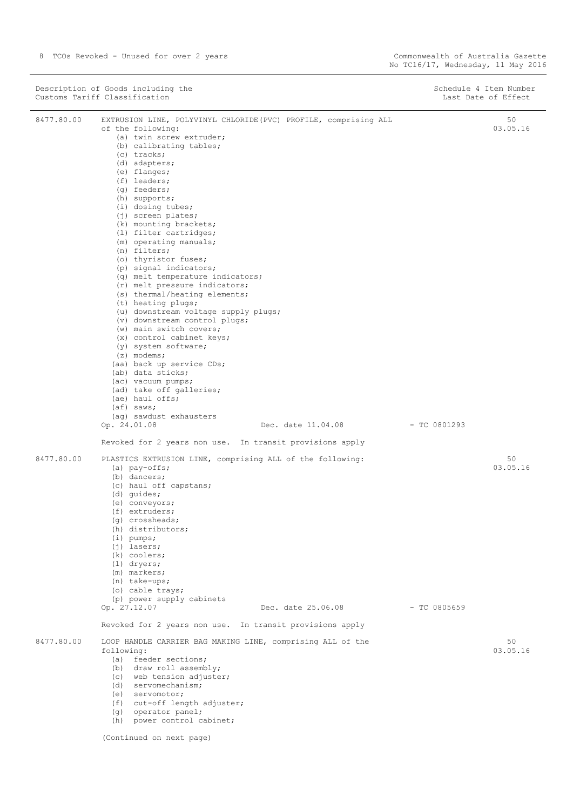|            | Description of Goods including the<br>Customs Tariff Classification                                               |                    | Schedule 4 Item Number<br>Last Date of Effect |
|------------|-------------------------------------------------------------------------------------------------------------------|--------------------|-----------------------------------------------|
| 8477.80.00 | EXTRUSION LINE, POLYVINYL CHLORIDE (PVC) PROFILE, comprising ALL<br>of the following:<br>(a) twin screw extruder; |                    | 50<br>03.05.16                                |
|            | (b) calibrating tables;                                                                                           |                    |                                               |
|            | (c) tracks;                                                                                                       |                    |                                               |
|            | (d) adapters;<br>(e) flanges;                                                                                     |                    |                                               |
|            | $(f)$ leaders;                                                                                                    |                    |                                               |
|            | $(q)$ feeders;                                                                                                    |                    |                                               |
|            | (h) supports;                                                                                                     |                    |                                               |
|            | $(i)$ dosing tubes;                                                                                               |                    |                                               |
|            | $(j)$ screen plates;<br>(k) mounting brackets;                                                                    |                    |                                               |
|            | (1) filter cartridges;                                                                                            |                    |                                               |
|            | (m) operating manuals;                                                                                            |                    |                                               |
|            | (n) filters;                                                                                                      |                    |                                               |
|            | (o) thyristor fuses;<br>(p) signal indicators;                                                                    |                    |                                               |
|            | (q) melt temperature indicators;                                                                                  |                    |                                               |
|            | (r) melt pressure indicators;                                                                                     |                    |                                               |
|            | (s) thermal/heating elements;                                                                                     |                    |                                               |
|            | (t) heating plugs;                                                                                                |                    |                                               |
|            | (u) downstream voltage supply plugs;<br>(v) downstream control plugs;                                             |                    |                                               |
|            | (w) main switch covers;                                                                                           |                    |                                               |
|            | (x) control cabinet keys;                                                                                         |                    |                                               |
|            | (y) system software;                                                                                              |                    |                                               |
|            | $(z)$ modems;                                                                                                     |                    |                                               |
|            | (aa) back up service CDs;<br>(ab) data sticks;                                                                    |                    |                                               |
|            | (ac) vacuum pumps;                                                                                                |                    |                                               |
|            | (ad) take off galleries;                                                                                          |                    |                                               |
|            | (ae) haul offs;                                                                                                   |                    |                                               |
|            | $(a f)$ saws;                                                                                                     |                    |                                               |
|            | (aq) sawdust exhausters<br>Op. 24.01.08                                                                           | Dec. date 11.04.08 | $-$ TC 0801293                                |
|            | Revoked for 2 years non use. In transit provisions apply                                                          |                    |                                               |
| 8477.80.00 | PLASTICS EXTRUSION LINE, comprising ALL of the following:                                                         |                    | 50                                            |
|            | $(a)$ pay-offs;<br>(b) dancers;                                                                                   |                    | 03.05.16                                      |
|            | (c) haul off capstans;                                                                                            |                    |                                               |
|            | (d) quides;                                                                                                       |                    |                                               |
|            | (e) conveyors;                                                                                                    |                    |                                               |
|            | $(f)$ extruders;                                                                                                  |                    |                                               |
|            | (q) crossheads;<br>(h) distributors;                                                                              |                    |                                               |
|            | $(i)$ pumps;                                                                                                      |                    |                                               |
|            | $(j)$ lasers;                                                                                                     |                    |                                               |
|            | (k) coolers;                                                                                                      |                    |                                               |
|            | $(1)$ dryers;                                                                                                     |                    |                                               |
|            | (m) markers;<br>(n) take-ups;                                                                                     |                    |                                               |
|            | (o) cable trays;                                                                                                  |                    |                                               |
|            | (p) power supply cabinets                                                                                         |                    |                                               |
|            | Op. 27.12.07                                                                                                      | Dec. date 25.06.08 | $-$ TC 0805659                                |
|            | Revoked for 2 years non use. In transit provisions apply                                                          |                    |                                               |
| 8477.80.00 | LOOP HANDLE CARRIER BAG MAKING LINE, comprising ALL of the<br>following:                                          |                    | 50<br>03.05.16                                |
|            | (a) feeder sections;                                                                                              |                    |                                               |
|            | (b) draw roll assembly;                                                                                           |                    |                                               |
|            | (c) web tension adjuster;                                                                                         |                    |                                               |
|            | (d) servomechanism;                                                                                               |                    |                                               |
|            | (e) servomotor;<br>(f) cut-off length adjuster;                                                                   |                    |                                               |
|            | (g) operator panel;                                                                                               |                    |                                               |

| (h) power control cabinet; |  |
|----------------------------|--|

(Continued on next page)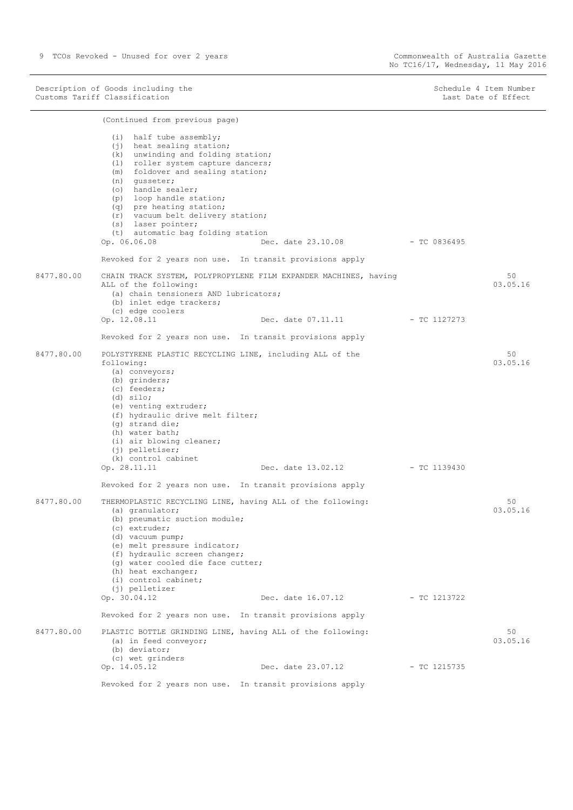9 TCOs Revoked - Unused for over 2 years Commonwealth of Australia Gazette

Description of Goods including the Schedule 4 Item Number (Schedule 4 Item Number Customs Tariff Classification Last Date of Effect

|            | (Continued from previous page)                                                                                                                                                                                                                                                                                                                                                         |                                                                  |                |                 |
|------------|----------------------------------------------------------------------------------------------------------------------------------------------------------------------------------------------------------------------------------------------------------------------------------------------------------------------------------------------------------------------------------------|------------------------------------------------------------------|----------------|-----------------|
|            | (i) half tube assembly;<br>$(i)$ heat sealing station;<br>(k) unwinding and folding station;<br>(1) roller system capture dancers;<br>(m) foldover and sealing station;<br>(n) qusseter;<br>(o) handle sealer;<br>(p) loop handle station;<br>(q) pre heating station;<br>(r) vacuum belt delivery station;<br>(s) laser pointer;<br>(t) automatic bag folding station<br>Op. 06.06.08 | Dec. date 23.10.08 - TC 0836495                                  |                |                 |
|            | Revoked for 2 years non use. In transit provisions apply                                                                                                                                                                                                                                                                                                                               |                                                                  |                |                 |
| 8477.80.00 | ALL of the following:<br>(a) chain tensioners AND lubricators;<br>(b) inlet edge trackers;<br>(c) edge coolers                                                                                                                                                                                                                                                                         | CHAIN TRACK SYSTEM, POLYPROPYLENE FILM EXPANDER MACHINES, having |                | 50<br>03.05.16  |
|            | Op. 12.08.11                                                                                                                                                                                                                                                                                                                                                                           | Dec. date 07.11.11 - TC 1127273                                  |                |                 |
|            | Revoked for 2 years non use. In transit provisions apply                                                                                                                                                                                                                                                                                                                               |                                                                  |                |                 |
| 8477.80.00 | POLYSTYRENE PLASTIC RECYCLING LINE, including ALL of the<br>following:<br>(a) conveyors;<br>(b) grinders;<br>(c) feeders;<br>$(d)$ silo;<br>(e) venting extruder;<br>(f) hydraulic drive melt filter;<br>(g) strand die;<br>(h) water bath;<br>(i) air blowing cleaner;<br>$(j)$ pelletiser;<br>(k) control cabinet                                                                    |                                                                  |                | 50<br>03.05.16  |
|            | Op. 28.11.11                                                                                                                                                                                                                                                                                                                                                                           | Dec. date 13.02.12 - TC 1139430                                  |                |                 |
|            | Revoked for 2 years non use. In transit provisions apply                                                                                                                                                                                                                                                                                                                               |                                                                  |                |                 |
| 8477.80.00 | THERMOPLASTIC RECYCLING LINE, having ALL of the following:<br>(a) granulator;<br>(b) pneumatic suction module;<br>(c) extruder;<br>(d) vacuum pump;<br>(e) melt pressure indicator;<br>(f) hydraulic screen changer;<br>(g) water cooled die face cutter;<br>(h) heat exchanger;<br>(i) control cabinet;                                                                               |                                                                  |                | 50<br>03.05.16  |
|            | (j) pelletizer<br>Op. 30.04.12                                                                                                                                                                                                                                                                                                                                                         | Dec. date 16.07.12 - TC 1213722                                  |                |                 |
|            | Revoked for 2 years non use. In transit provisions apply                                                                                                                                                                                                                                                                                                                               |                                                                  |                |                 |
| 8477.80.00 | PLASTIC BOTTLE GRINDING LINE, having ALL of the following:<br>(a) in feed conveyor;<br>(b) deviator;<br>(c) wet grinders                                                                                                                                                                                                                                                               |                                                                  |                | 50<br>0.3.05.16 |
|            | Op. 14.05.12                                                                                                                                                                                                                                                                                                                                                                           | Dec. date 23.07.12                                               | $-$ TC 1215735 |                 |
|            | Revoked for 2 years non use. In transit provisions apply                                                                                                                                                                                                                                                                                                                               |                                                                  |                |                 |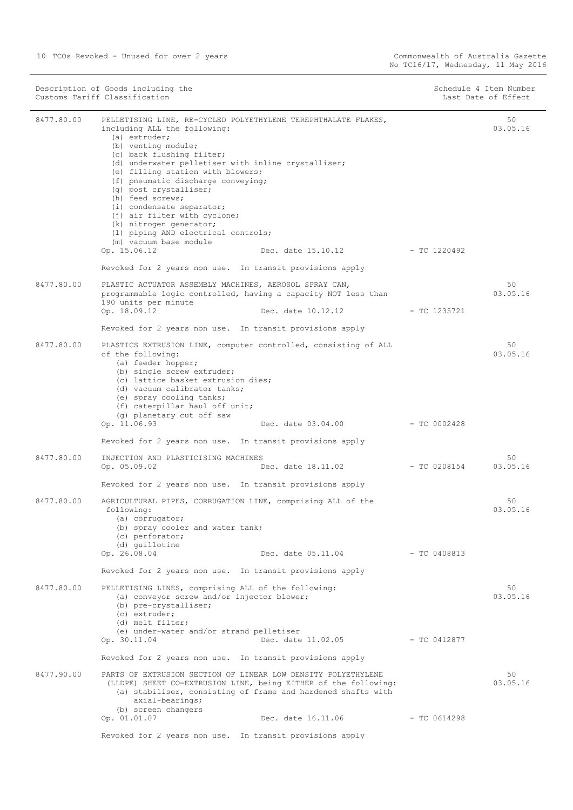|            | Description of Goods including the<br>Customs Tariff Classification                                                                                                                                                                                                                                                                                                                                                                                                                                                                                                                                                             |                | Schedule 4 Item Number<br>Last Date of Effect |
|------------|---------------------------------------------------------------------------------------------------------------------------------------------------------------------------------------------------------------------------------------------------------------------------------------------------------------------------------------------------------------------------------------------------------------------------------------------------------------------------------------------------------------------------------------------------------------------------------------------------------------------------------|----------------|-----------------------------------------------|
| 8477.80.00 | PELLETISING LINE, RE-CYCLED POLYETHYLENE TEREPHTHALATE FLAKES,<br>including ALL the following:<br>$(a)$ extruder;<br>(b) venting module;<br>(c) back flushing filter;<br>(d) underwater pelletiser with inline crystalliser;<br>(e) filling station with blowers;<br>(f) pneumatic discharge conveying;<br>(g) post crystalliser;<br>(h) feed screws;<br>(i) condensate separator;<br>(j) air filter with cyclone;<br>(k) nitrogen generator;<br>(1) piping AND electrical controls;<br>(m) vacuum base module<br>Op. 15.06.12<br>Dec. date $15.10.12$ - TC 1220492<br>Revoked for 2 years non use. In transit provisions apply |                | 50<br>03.05.16                                |
| 8477.80.00 | PLASTIC ACTUATOR ASSEMBLY MACHINES, AEROSOL SPRAY CAN,<br>programmable logic controlled, having a capacity NOT less than<br>190 units per minute                                                                                                                                                                                                                                                                                                                                                                                                                                                                                |                | 50<br>03.05.16                                |
|            | Op. 18.09.12<br>Dec. date 10.12.12                                                                                                                                                                                                                                                                                                                                                                                                                                                                                                                                                                                              | - TC 1235721   |                                               |
| 8477.80.00 | Revoked for 2 years non use. In transit provisions apply<br>PLASTICS EXTRUSION LINE, computer controlled, consisting of ALL<br>of the following:<br>(a) feeder hopper;<br>(b) single screw extruder;<br>(c) lattice basket extrusion dies;<br>(d) vacuum calibrator tanks;<br>(e) spray cooling tanks;<br>(f) caterpillar haul off unit;                                                                                                                                                                                                                                                                                        |                | 50<br>03.05.16                                |
|            | (g) planetary cut off saw<br>Op. 11.06.93<br>Dec. date 03.04.00<br>Revoked for 2 years non use. In transit provisions apply                                                                                                                                                                                                                                                                                                                                                                                                                                                                                                     | - TC 0002428   |                                               |
| 8477.80.00 | INJECTION AND PLASTICISING MACHINES<br>Op. 05.09.02<br>Dec. date 18.11.02                                                                                                                                                                                                                                                                                                                                                                                                                                                                                                                                                       | $-$ TC 0208154 | 50<br>03.05.16                                |
| 8477.80.00 | Revoked for 2 years non use. In transit provisions apply                                                                                                                                                                                                                                                                                                                                                                                                                                                                                                                                                                        |                | 50                                            |
|            | AGRICULTURAL PIPES, CORRUGATION LINE, comprising ALL of the<br>following:<br>(a) corrugator;<br>(b) spray cooler and water tank;<br>(c) perforator;<br>(d) quillotine<br>Op. 26.08.04<br>Dec. date 05.11.04 - TC 0408813                                                                                                                                                                                                                                                                                                                                                                                                        |                | 03.05.16                                      |
|            | Revoked for 2 years non use. In transit provisions apply                                                                                                                                                                                                                                                                                                                                                                                                                                                                                                                                                                        |                |                                               |
| 8477.80.00 | PELLETISING LINES, comprising ALL of the following:<br>(a) conveyor screw and/or injector blower;<br>(b) pre-crystalliser;<br>$(c)$ extruder;<br>(d) melt filter;<br>(e) under-water and/or strand pelletiser                                                                                                                                                                                                                                                                                                                                                                                                                   |                | 50<br>03.05.16                                |
|            | Dec. date 11.02.05 - TC 0412877<br>Op. 30.11.04                                                                                                                                                                                                                                                                                                                                                                                                                                                                                                                                                                                 |                |                                               |
|            | Revoked for 2 years non use. In transit provisions apply                                                                                                                                                                                                                                                                                                                                                                                                                                                                                                                                                                        |                |                                               |
| 8477.90.00 | PARTS OF EXTRUSION SECTION OF LINEAR LOW DENSITY POLYETHYLENE<br>(LLDPE) SHEET CO-EXTRUSION LINE, being EITHER of the following:<br>(a) stabiliser, consisting of frame and hardened shafts with<br>axial-bearings;<br>(b) screen changers                                                                                                                                                                                                                                                                                                                                                                                      |                | 50<br>03.05.16                                |
|            | Dec. date 16.11.06<br>Op. 01.01.07                                                                                                                                                                                                                                                                                                                                                                                                                                                                                                                                                                                              | - TC 0614298   |                                               |
|            | Revoked for 2 years non use. In transit provisions apply                                                                                                                                                                                                                                                                                                                                                                                                                                                                                                                                                                        |                |                                               |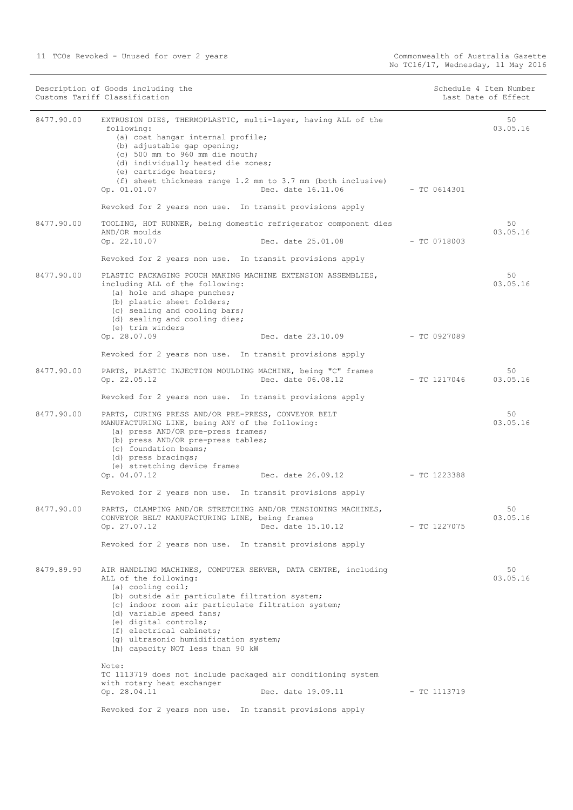| Description of Goods including the<br>Customs Tariff Classification |                                                                                                                                                                                                                                                                                                                                                                                    | Schedule 4 Item Number<br>Last Date of Effect |                |
|---------------------------------------------------------------------|------------------------------------------------------------------------------------------------------------------------------------------------------------------------------------------------------------------------------------------------------------------------------------------------------------------------------------------------------------------------------------|-----------------------------------------------|----------------|
| 8477.90.00                                                          | EXTRUSION DIES, THERMOPLASTIC, multi-layer, having ALL of the<br>following:<br>(a) coat hangar internal profile;<br>(b) adjustable gap opening;<br>(c) 500 mm to 960 mm die mouth;<br>(d) individually heated die zones;<br>(e) cartridge heaters;<br>(f) sheet thickness range 1.2 mm to 3.7 mm (both inclusive)<br>Op. 01.01.07<br>Dec. date 16.11.06                            | $-$ TC 0614301                                | 50<br>03.05.16 |
|                                                                     | Revoked for 2 years non use. In transit provisions apply                                                                                                                                                                                                                                                                                                                           |                                               |                |
| 8477.90.00                                                          | TOOLING, HOT RUNNER, being domestic refrigerator component dies<br>AND/OR moulds<br>Op. 22.10.07<br>Dec. date 25.01.08                                                                                                                                                                                                                                                             | $-$ TC 0718003                                | 50<br>03.05.16 |
|                                                                     | Revoked for 2 years non use. In transit provisions apply                                                                                                                                                                                                                                                                                                                           |                                               |                |
| 8477.90.00                                                          | PLASTIC PACKAGING POUCH MAKING MACHINE EXTENSION ASSEMBLIES,<br>including ALL of the following:<br>(a) hole and shape punches;<br>(b) plastic sheet folders;<br>(c) sealing and cooling bars;<br>(d) sealing and cooling dies;<br>(e) trim winders                                                                                                                                 |                                               | 50<br>03.05.16 |
|                                                                     | Op. 28.07.09<br>Dec. date 23.10.09 - TC 0927089                                                                                                                                                                                                                                                                                                                                    |                                               |                |
|                                                                     | Revoked for 2 years non use. In transit provisions apply                                                                                                                                                                                                                                                                                                                           |                                               |                |
| 8477.90.00                                                          | PARTS, PLASTIC INJECTION MOULDING MACHINE, being "C" frames<br>Op. 22.05.12<br>Dec. date 06.08.12                                                                                                                                                                                                                                                                                  | - TC 1217046                                  | 50<br>03.05.16 |
|                                                                     | Revoked for 2 years non use. In transit provisions apply                                                                                                                                                                                                                                                                                                                           |                                               |                |
| 8477.90.00                                                          | PARTS, CURING PRESS AND/OR PRE-PRESS, CONVEYOR BELT<br>MANUFACTURING LINE, being ANY of the following:<br>(a) press AND/OR pre-press frames;<br>(b) press AND/OR pre-press tables;<br>(c) foundation beams;<br>(d) press bracings;<br>(e) stretching device frames<br>Op. 04.07.12<br>Dec. date 26.09.12 - TC 1223388                                                              |                                               | 50<br>03.05.16 |
|                                                                     | Revoked for 2 years non use. In transit provisions apply                                                                                                                                                                                                                                                                                                                           |                                               |                |
| 8477.90.00                                                          | PARTS, CLAMPING AND/OR STRETCHING AND/OR TENSIONING MACHINES,<br>CONVEYOR BELT MANUFACTURING LINE, being frames<br>Op. 27.07.12<br>Dec. date 15.10.12                                                                                                                                                                                                                              | $-$ TC 1227075                                | 50<br>03.05.16 |
|                                                                     | Revoked for 2 years non use. In transit provisions apply                                                                                                                                                                                                                                                                                                                           |                                               |                |
| 8479.89.90                                                          | AIR HANDLING MACHINES, COMPUTER SERVER, DATA CENTRE, including<br>ALL of the following:<br>(a) cooling coil;<br>(b) outside air particulate filtration system;<br>(c) indoor room air particulate filtration system;<br>(d) variable speed fans;<br>(e) digital controls;<br>(f) electrical cabinets;<br>(q) ultrasonic humidification system;<br>(h) capacity NOT less than 90 kW |                                               | 50<br>03.05.16 |
|                                                                     | Note:<br>TC 1113719 does not include packaged air conditioning system<br>with rotary heat exchanger<br>Op. 28.04.11<br>Dec. date 19.09.11                                                                                                                                                                                                                                          | - TC 1113719                                  |                |
|                                                                     | Revoked for 2 years non use. In transit provisions apply                                                                                                                                                                                                                                                                                                                           |                                               |                |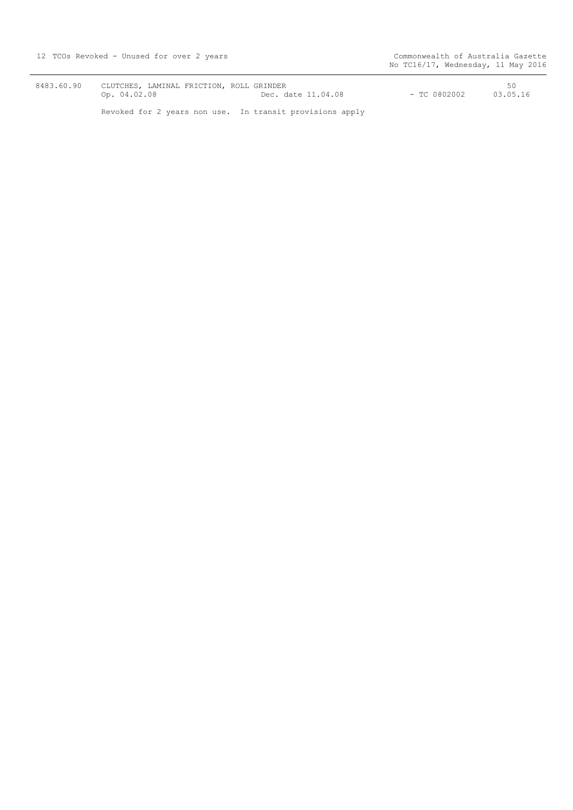8483.60.90 CLUTCHES, LAMINAL FRICTION, ROLL GRINDER<br>Op. 04.02.08 Dec. da  $Dec. date 11.04.08$ Revoked for 2 years non use. In transit provisions apply 50 50<br>TC 0802002 - TC 0802002 - 03.05.16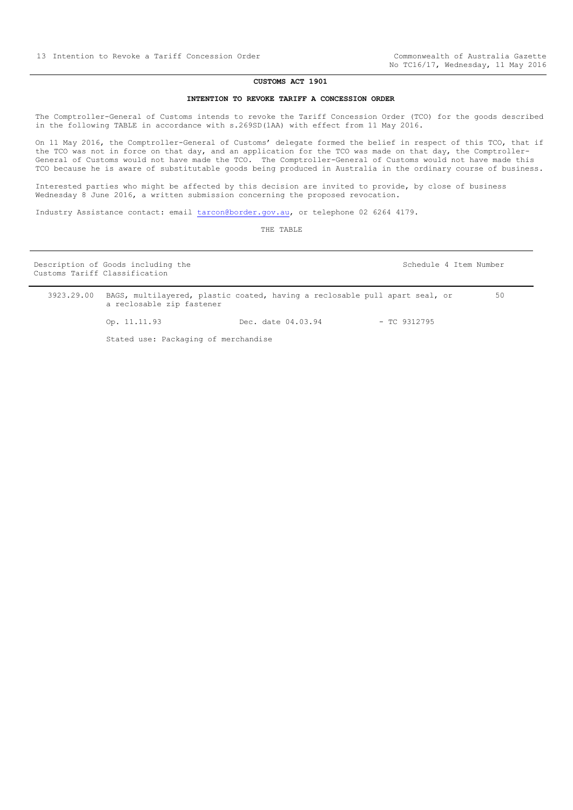#### **CUSTOMS ACT 1901**

#### **INTENTION TO REVOKE TARIFF A CONCESSION ORDER**

<span id="page-12-0"></span>The Comptroller-General of Customs intends to revoke the Tariff Concession Order (TCO) for the goods described in the following TABLE in accordance with s.269SD(1AA) with effect from 11 May 2016.

On 11 May 2016, the Comptroller-General of Customs' delegate formed the belief in respect of this TCO, that if the TCO was not in force on that day, and an application for the TCO was made on that day, the Comptroller-General of Customs would not have made the TCO. The Comptroller-General of Customs would not have made this TCO because he is aware of substitutable goods being produced in Australia in the ordinary course of business.

Interested parties who might be affected by this decision are invited to provide, by close of business Wednesday 8 June 2016, a written submission concerning the proposed revocation.

Industry Assistance contact: email [tarcon@border.gov.au,](mailto:tarcon@border.gov.au) or telephone 02 6264 4179.

THE TABLE

| Customs Tariff Classification | Description of Goods including the   |                                                                             |                | Schedule 4 Item Number |  |
|-------------------------------|--------------------------------------|-----------------------------------------------------------------------------|----------------|------------------------|--|
| 3923.29.00                    | a reclosable zip fastener            | BAGS, multilayered, plastic coated, having a reclosable pull apart seal, or |                | 50                     |  |
|                               | Op. 11.11.93                         | Dec. date 04.03.94                                                          | $-$ TC 9312795 |                        |  |
|                               | Stated use: Packaging of merchandise |                                                                             |                |                        |  |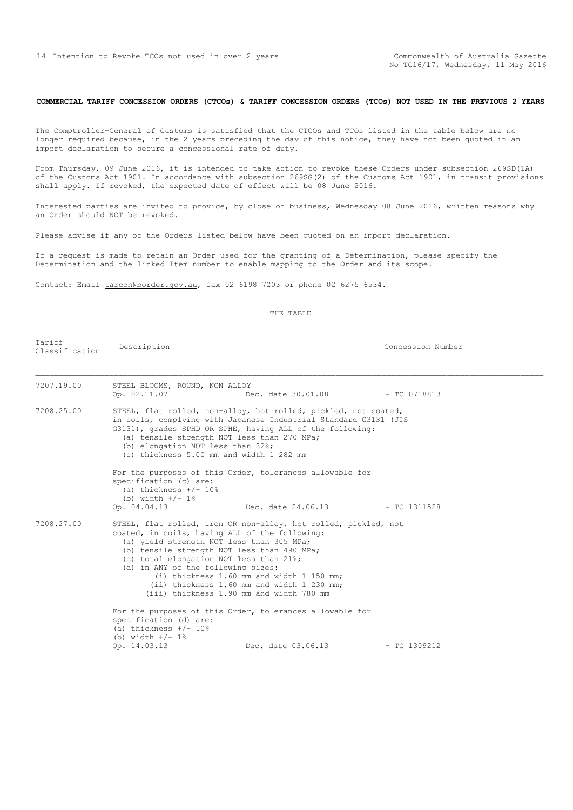#### <span id="page-13-0"></span>**COMMERCIAL TARIFF CONCESSION ORDERS (CTCOs) & TARIFF CONCESSION ORDERS (TCOs) NOT USED IN THE PREVIOUS 2 YEARS**

The Comptroller-General of Customs is satisfied that the CTCOs and TCOs listed in the table below are no longer required because, in the 2 years preceding the day of this notice, they have not been quoted in an import declaration to secure a concessional rate of duty.

From Thursday, 09 June 2016, it is intended to take action to revoke these Orders under subsection 269SD(1A) of the Customs Act 1901. In accordance with subsection 269SG(2) of the Customs Act 1901, in transit provisions shall apply. If revoked, the expected date of effect will be 08 June 2016.

Interested parties are invited to provide, by close of business, Wednesday 08 June 2016, written reasons why an Order should NOT be revoked.

Please advise if any of the Orders listed below have been quoted on an import declaration.

If a request is made to retain an Order used for the granting of a Determination, please specify the Determination and the linked Item number to enable mapping to the Order and its scope.

Contact: Email tarcon@border.gov.au, fax 02 6198 7203 or phone 02 6275 6534.

#### THE TABLE

Tariff ndiiii and Description Description Description Description Description Description Description Description Description Description Description Description Description Description Description Description Description Descrip

| 7207.19.00 | STEEL BLOOMS, ROUND, NON ALLOY<br>Op. 02.11.07                                                                                                                                                                                                                          | Dec. date $30.01.08$ - TC 0718813                                                                                                                                                                |                |
|------------|-------------------------------------------------------------------------------------------------------------------------------------------------------------------------------------------------------------------------------------------------------------------------|--------------------------------------------------------------------------------------------------------------------------------------------------------------------------------------------------|----------------|
| 7208.25.00 | (a) tensile strength NOT less than 270 MPa;<br>(b) elongation NOT less than 32%;<br>(c) thickness 5.00 mm and width 1 282 mm                                                                                                                                            | STEEL, flat rolled, non-alloy, hot rolled, pickled, not coated,<br>in coils, complying with Japanese Industrial Standard G3131 (JIS<br>G3131), grades SPHD OR SPHE, having ALL of the following: |                |
|            | For the purposes of this Order, tolerances allowable for<br>specification (c) are:<br>(a) thickness $+/- 10%$<br>(b) width $+/- 1$ %                                                                                                                                    |                                                                                                                                                                                                  |                |
|            | Op. 04.04.13                                                                                                                                                                                                                                                            | Dec. date 24.06.13                                                                                                                                                                               | - TC 1311528   |
| 7208.27.00 | coated, in coils, having ALL of the following:<br>(a) yield strength NOT less than 305 MPa;<br>(b) tensile strength NOT less than 490 MPa;<br>(c) total elongation NOT less than 21%;<br>(d) in ANY of the following sizes:<br>(iii) thickness 1.90 mm and width 780 mm | STEEL, flat rolled, iron OR non-alloy, hot rolled, pickled, not<br>(i) thickness 1.60 mm and width 1 150 mm;<br>(ii) thickness 1.60 mm and width 1 230 mm;                                       |                |
|            | For the purposes of this Order, tolerances allowable for<br>specification (d) are:<br>(a) thickness $+/- 10%$<br>(b) width $+/- 1$ %                                                                                                                                    |                                                                                                                                                                                                  |                |
|            | Op. 14.03.13                                                                                                                                                                                                                                                            | Dec. date 03.06.13                                                                                                                                                                               | $-$ TC 1309212 |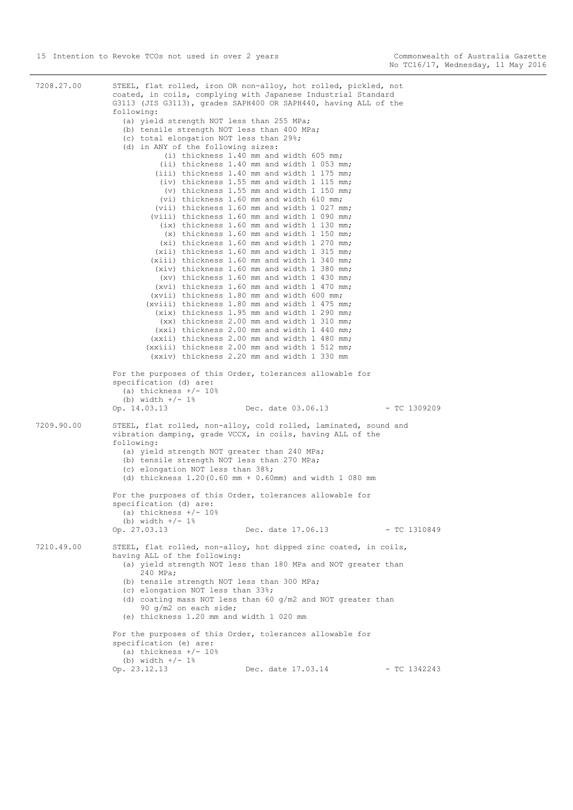7208.27.00 STEEL, flat rolled, iron OR non-alloy, hot rolled, pickled, not coated, in coils, complying with Japanese Industrial Standard G3113 (JIS G3113), grades SAPH400 OR SAPH440, having ALL of the following: (a) yield strength NOT less than 255 MPa; (b) tensile strength NOT less than 400 MPa; (c) total elongation NOT less than 29%; (d) in ANY of the following sizes: (i) thickness 1.40 mm and width 605 mm; (ii) thickness 1.40 mm and width 1 053 mm; (iii) thickness 1.40 mm and width 1 175 mm; (iv) thickness 1.55 mm and width 1 115 mm; (v) thickness 1.55 mm and width 1 150 mm; (vi) thickness 1.60 mm and width 610 mm; (vii) thickness 1.60 mm and width 1 027 mm; (viii) thickness 1.60 mm and width 1 090 mm; (ix) thickness 1.60 mm and width 1 130 mm; (x) thickness 1.60 mm and width 1 150 mm; (xi) thickness 1.60 mm and width 1 270 mm; (xii) thickness 1.60 mm and width 1 315 mm; (xiii) thickness 1.60 mm and width 1 340 mm; (xiv) thickness 1.60 mm and width 1 380 mm; (xv) thickness 1.60 mm and width 1 430 mm; (xvi) thickness 1.60 mm and width 1 470 mm; (xvii) thickness 1.80 mm and width 600 mm; (xviii) thickness 1.80 mm and width 1 475 mm; (xix) thickness 1.95 mm and width 1 290 mm; (xx) thickness 2.00 mm and width 1 310 mm; (xxi) thickness 2.00 mm and width 1 440 mm; (xxii) thickness 2.00 mm and width 1 480 mm; (xxiii) thickness 2.00 mm and width 1 512 mm; (xxiv) thickness 2.20 mm and width 1 330 mm For the purposes of this Order, tolerances allowable for specification (d) are: (a) thickness  $+/- 10%$ (b) width  $+/- 1$ % Op. 14.03.13 Dec. date 03.06.13 - TC 1309209 7209.90.00 STEEL, flat rolled, non-alloy, cold rolled, laminated, sound and vibration damping, grade VCCX, in coils, having ALL of the following: (a) yield strength NOT greater than 240 MPa; (b) tensile strength NOT less than 270 MPa; (c) elongation NOT less than 38%; (d) thickness 1.20(0.60 mm + 0.60mm) and width 1 080 mm For the purposes of this Order, tolerances allowable for specification (d) are: (a) thickness  $+/- 10%$ (b) width  $+/- 1$ %<br>Op. 27.03.13 Dec. date 17.06.13 - TC 1310849 7210.49.00 STEEL, flat rolled, non-alloy, hot dipped zinc coated, in coils, having ALL of the following: (a) yield strength NOT less than 180 MPa and NOT greater than 240 MPa; (b) tensile strength NOT less than 300 MPa; (c) elongation NOT less than 33%; (d) coating mass NOT less than 60 g/m2 and NOT greater than 90 g/m2 on each side; (e) thickness 1.20 mm and width 1 020 mm For the purposes of this Order, tolerances allowable for specification (e) are: (a) thickness  $+/- 10%$  (b) width +/- 1% Op. 23.12.13 Dec. date 17.03.14 - TC 1342243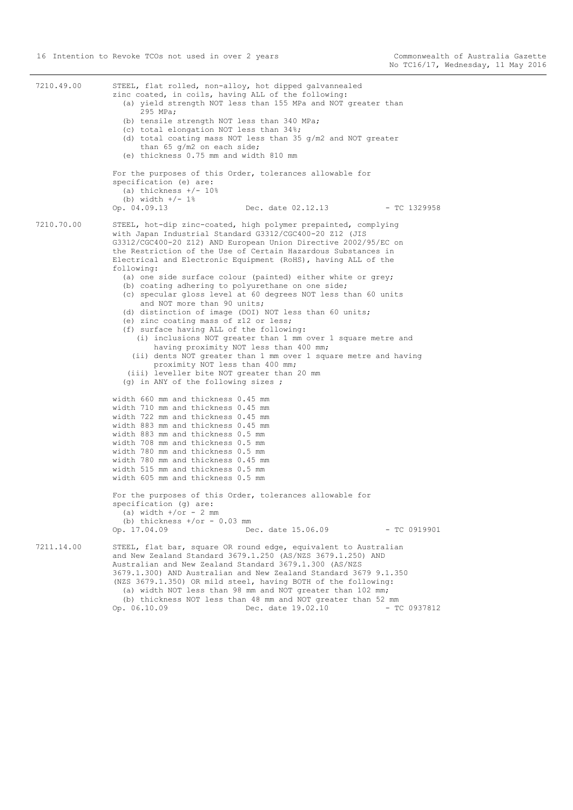| 7210.49.00 | STEEL, flat rolled, non-alloy, hot dipped galvannealed<br>zinc coated, in coils, having ALL of the following:<br>(a) yield strength NOT less than 155 MPa and NOT greater than<br>295 MPa;<br>(b) tensile strength NOT less than 340 MPa;<br>(c) total elongation NOT less than 34%;<br>(d) total coating mass NOT less than 35 $q/m2$ and NOT greater<br>than 65 $q/m2$ on each side;<br>(e) thickness 0.75 mm and width 810 mm<br>For the purposes of this Order, tolerances allowable for                                                                                                                                                                                                                                                                                                                                                                                                                                                                                                                                                                                                                                                                                                                                                                                                                                                                           |  |
|------------|------------------------------------------------------------------------------------------------------------------------------------------------------------------------------------------------------------------------------------------------------------------------------------------------------------------------------------------------------------------------------------------------------------------------------------------------------------------------------------------------------------------------------------------------------------------------------------------------------------------------------------------------------------------------------------------------------------------------------------------------------------------------------------------------------------------------------------------------------------------------------------------------------------------------------------------------------------------------------------------------------------------------------------------------------------------------------------------------------------------------------------------------------------------------------------------------------------------------------------------------------------------------------------------------------------------------------------------------------------------------|--|
|            | specification (e) are:<br>(a) thickness $+/- 10%$<br>(b) width $+/- 1$ %<br>Op. 04.09.13<br>Dec. date 02.12.13<br>- TC 1329958                                                                                                                                                                                                                                                                                                                                                                                                                                                                                                                                                                                                                                                                                                                                                                                                                                                                                                                                                                                                                                                                                                                                                                                                                                         |  |
| 7210.70.00 | STEEL, hot-dip zinc-coated, high polymer prepainted, complying<br>with Japan Industrial Standard G3312/CGC400-20 Z12 (JIS<br>G3312/CGC400-20 Z12) AND European Union Directive 2002/95/EC on<br>the Restriction of the Use of Certain Hazardous Substances in<br>Electrical and Electronic Equipment (RoHS), having ALL of the<br>following:<br>(a) one side surface colour (painted) either white or grey;<br>(b) coating adhering to polyurethane on one side;<br>(c) specular gloss level at 60 degrees NOT less than 60 units<br>and NOT more than 90 units;<br>(d) distinction of image (DOI) NOT less than 60 units;<br>(e) zinc coating mass of z12 or less;<br>(f) surface having ALL of the following:<br>(i) inclusions NOT greater than 1 mm over 1 square metre and<br>having proximity NOT less than 400 mm;<br>(ii) dents NOT greater than 1 mm over 1 square metre and having<br>proximity NOT less than 400 mm;<br>(iii) leveller bite NOT greater than 20 mm<br>(g) in ANY of the following sizes ;<br>width 660 mm and thickness 0.45 mm<br>width 710 mm and thickness 0.45 mm<br>width 722 mm and thickness 0.45 mm<br>width 883 mm and thickness 0.45 mm<br>width 883 mm and thickness 0.5 mm<br>width 708 mm and thickness 0.5 mm<br>width 780 mm and thickness 0.5 mm<br>width 780 mm and thickness 0.45 mm<br>width 515 mm and thickness 0.5 mm |  |
|            | width 605 mm and thickness 0.5 mm<br>For the purposes of this Order, tolerances allowable for<br>specification (g) are:<br>(a) width $+$ /or - 2 mm<br>(b) thickness $+/or - 0.03$ mm<br>Op. 17.04.09<br>Dec. date 15.06.09<br>$-$ TC 0919901                                                                                                                                                                                                                                                                                                                                                                                                                                                                                                                                                                                                                                                                                                                                                                                                                                                                                                                                                                                                                                                                                                                          |  |
| 7211.14.00 | STEEL, flat bar, square OR round edge, equivalent to Australian<br>and New Zealand Standard 3679.1.250 (AS/NZS 3679.1.250) AND<br>Australian and New Zealand Standard 3679.1.300 (AS/NZS<br>3679.1.300) AND Australian and New Zealand Standard 3679 9.1.350<br>(NZS 3679.1.350) OR mild steel, having BOTH of the following:<br>(a) width NOT less than 98 mm and NOT greater than 102 mm;<br>(b) thickness NOT less than 48 mm and NOT greater than 52 mm<br>Op. 06.10.09<br>Dec. date 19.02.10<br>- TC 0937812                                                                                                                                                                                                                                                                                                                                                                                                                                                                                                                                                                                                                                                                                                                                                                                                                                                      |  |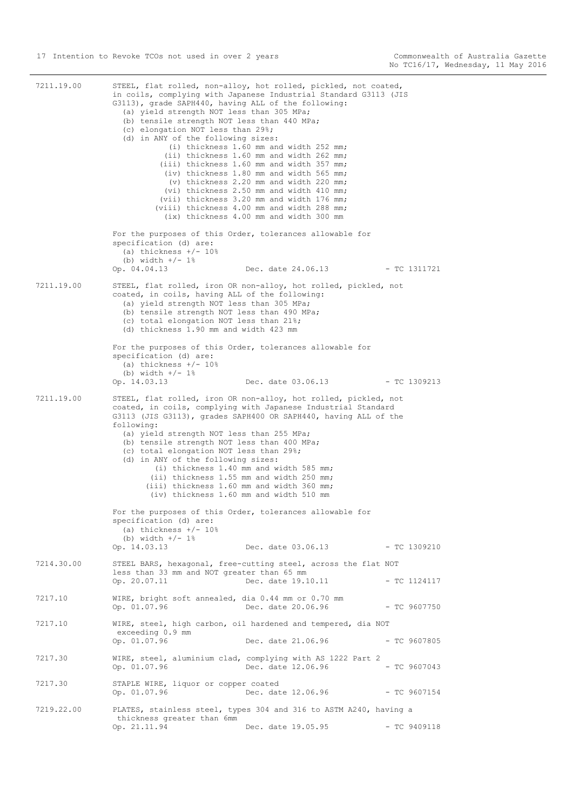7211.19.00 STEEL, flat rolled, non-alloy, hot rolled, pickled, not coated, in coils, complying with Japanese Industrial Standard G3113 (JIS G3113), grade SAPH440, having ALL of the following: (a) yield strength NOT less than 305 MPa; (b) tensile strength NOT less than 440 MPa; (c) elongation NOT less than 29%; (d) in ANY of the following sizes: (i) thickness 1.60 mm and width 252 mm; (ii) thickness 1.60 mm and width 262 mm; (iii) thickness 1.60 mm and width 357 mm; (iv) thickness 1.80 mm and width 565 mm; (v) thickness 2.20 mm and width 220 mm; (vi) thickness 2.50 mm and width 410 mm; (vii) thickness 3.20 mm and width 176 mm; (viii) thickness 4.00 mm and width 288 mm; (ix) thickness 4.00 mm and width 300 mm For the purposes of this Order, tolerances allowable for specification (d) are: (a) thickness  $+/- 10$ % (b) width  $+/- 1$ %<br>Op. 04.04.13 Op. 04.04.13 Dec. date 24.06.13 - TC 1311721 7211.19.00 STEEL, flat rolled, iron OR non-alloy, hot rolled, pickled, not coated, in coils, having ALL of the following: (a) yield strength NOT less than 305 MPa; (b) tensile strength NOT less than 490 MPa; (c) total elongation NOT less than 21%; (d) thickness 1.90 mm and width 423 mm For the purposes of this Order, tolerances allowable for specification (d) are: (a) thickness  $+/- 10%$ (b) width  $+/- 1$ % Op. 14.03.13 Dec. date 03.06.13 - TC 1309213 7211.19.00 STEEL, flat rolled, iron OR non-alloy, hot rolled, pickled, not coated, in coils, complying with Japanese Industrial Standard G3113 (JIS G3113), grades SAPH400 OR SAPH440, having ALL of the following: (a) yield strength NOT less than 255 MPa; (b) tensile strength NOT less than 400 MPa; (c) total elongation NOT less than 29%; (d) in ANY of the following sizes: (i) thickness 1.40 mm and width 585 mm; (ii) thickness 1.55 mm and width 250 mm; (iii) thickness 1.60 mm and width 360 mm; (iv) thickness 1.60 mm and width 510 mm For the purposes of this Order, tolerances allowable for specification (d) are: (a) thickness  $+/- 10$ % (b) width  $+/- 1$ % Op. 14.03.13 Dec. date 03.06.13 - TC 1309210 7214.30.00 STEEL BARS, hexagonal, free-cutting steel, across the flat NOT less than 33 mm and NOT greater than 65 mm<br>Op. 20.07.11 Dec. date 19.1 Dec. date 19.10.11 - TC 1124117 7217.10 WIRE, bright soft annealed, dia 0.44 mm or 0.70 mm Op. 01.07.96 Dec. date 20.06.96 - TC 9607750 7217.10 WIRE, steel, high carbon, oil hardened and tempered, dia NOT exceeding 0.9 mm Op. 01.07.96 Dec. date 21.06.96 - TC 9607805 7217.30 WIRE, steel, aluminium clad, complying with AS 1222 Part 2 Op. 01.07.96 Dec. date 12.06.96 - TC 9607043 7217.30 STAPLE WIRE, liquor or copper coated<br>Op. 01.07.96 Dec. dat Dec. date 12.06.96 - TC 9607154 7219.22.00 PLATES, stainless steel, types 304 and 316 to ASTM A240, having a thickness greater than 6mm Op. 21.11.94 Dec. date 19.05.95 - TC 9409118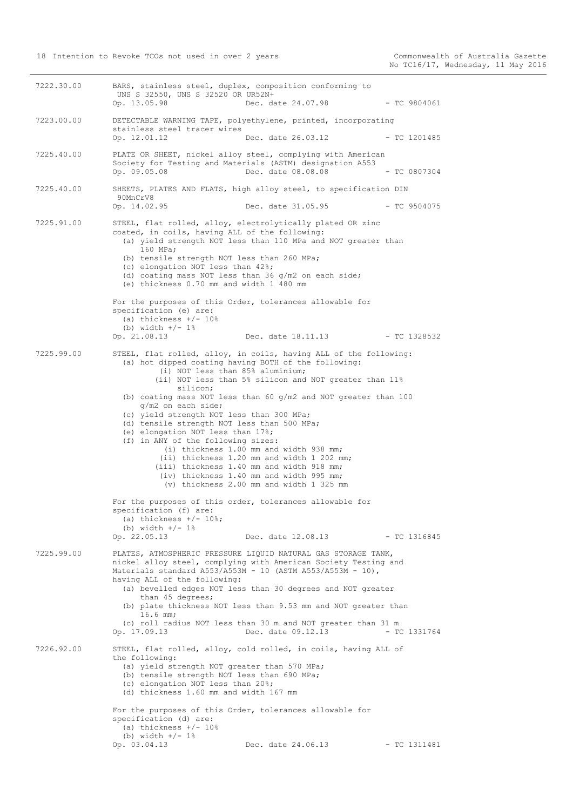7222.30.00 BARS, stainless steel, duplex, composition conforming to UNS S 32550, UNS S 32520 OR UR52N+ Op. 13.05.98 Dec. date 24.07.98 - TC 9804061 7223.00.00 DETECTABLE WARNING TAPE, polyethylene, printed, incorporating stainless steel tracer wires Op. 12.01.12 Dec. date 26.03.12 - TC 1201485 7225.40.00 PLATE OR SHEET, nickel alloy steel, complying with American Society for Testing and Materials (ASTM) designation A553 Op. 09.05.08 Dec. date 08.08.08 - TC 0807304 7225.40.00 SHEETS, PLATES AND FLATS, high alloy steel, to specification DIN 90MnCrV8<br>Op. 14.02.95 Dec. date 31.05.95 - TC 9504075 7225.91.00 STEEL, flat rolled, alloy, electrolytically plated OR zinc coated, in coils, having ALL of the following: (a) yield strength NOT less than 110 MPa and NOT greater than 160 MPa; (b) tensile strength NOT less than 260 MPa; (c) elongation NOT less than 42%; (d) coating mass NOT less than 36 g/m2 on each side; (e) thickness 0.70 mm and width 1 480 mm For the purposes of this Order, tolerances allowable for specification (e) are: (a) thickness  $+/- 10$ % (b) width  $+/- 1$ % Op. 21.08.13 Dec. date 18.11.13 - TC 1328532 7225.99.00 STEEL, flat rolled, alloy, in coils, having ALL of the following: (a) hot dipped coating having BOTH of the following: (i) NOT less than 85% aluminium; (ii) NOT less than 5% silicon and NOT greater than 11% silicon; (b) coating mass NOT less than 60 g/m2 and NOT greater than 100 g/m2 on each side; (c) yield strength NOT less than 300 MPa; (d) tensile strength NOT less than 500 MPa; (e) elongation NOT less than 17%; (f) in ANY of the following sizes: (i) thickness 1.00 mm and width 938 mm; (ii) thickness 1.20 mm and width 1 202 mm; (iii) thickness 1.40 mm and width 918 mm; (iv) thickness 1.40 mm and width 995 mm; (v) thickness 2.00 mm and width 1 325 mm For the purposes of this order, tolerances allowable for specification (f) are: (a) thickness  $+/- 10$ %; (b) width  $+/- 1$ % Op. 22.05.13 Dec. date 12.08.13 - TC 1316845 7225.99.00 PLATES, ATMOSPHERIC PRESSURE LIQUID NATURAL GAS STORAGE TANK, nickel alloy steel, complying with American Society Testing and Materials standard A553/A553M - 10 (ASTM A553/A553M - 10), having ALL of the following: (a) bevelled edges NOT less than 30 degrees and NOT greater than 45 degrees; (b) plate thickness NOT less than 9.53 mm and NOT greater than 16.6 mm; (c) roll radius NOT less than 30 m and NOT greater than 31 m Op. 17.09.13 Dec. date 09.12.13 - TC 1331764 7226.92.00 STEEL, flat rolled, alloy, cold rolled, in coils, having ALL of the following: (a) yield strength NOT greater than 570 MPa; (b) tensile strength NOT less than 690 MPa; (c) elongation NOT less than 20%; (d) thickness 1.60 mm and width 167 mm For the purposes of this Order, tolerances allowable for specification (d) are: (a) thickness  $+/- 10%$ (b) width  $+/- 1$ % Op. 03.04.13 Dec. date 24.06.13 - TC 1311481